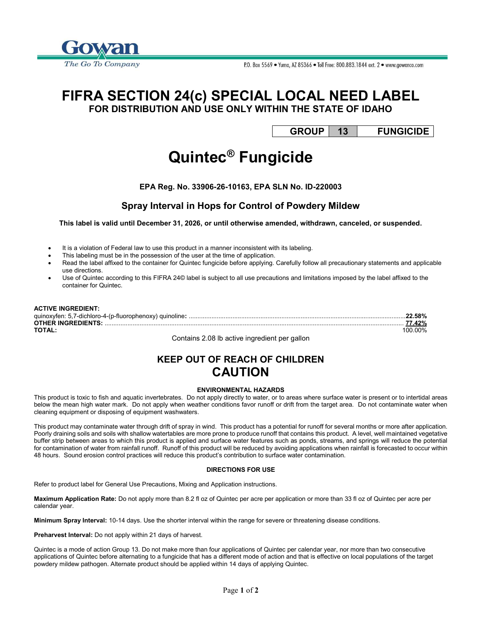

# FIFRA SECTION 24(c) SPECIAL LOCAL NEED LABEL

FOR DISTRIBUTION AND USE ONLY WITHIN THE STATE OF IDAHO

GROUP 13 FUNGICIDE

## Quintec® Fungicide

EPA Reg. No. 33906-26-10163, EPA SLN No. ID-220003

### Spray Interval in Hops for Control of Powdery Mildew

This label is valid until December 31, 2026, or until otherwise amended, withdrawn, canceled, or suspended.

- It is a violation of Federal law to use this product in a manner inconsistent with its labeling.
- This labeling must be in the possession of the user at the time of application.
- Read the label affixed to the container for Quintec fungicide before applying. Carefully follow all precautionary statements and applicable use directions.
- Use of Quintec according to this FIFRA 24© label is subject to all use precautions and limitations imposed by the label affixed to the container for Quintec.

| <b>ACTIVE INGREDIENT:</b> |        |
|---------------------------|--------|
|                           |        |
|                           | 77.42% |
| TOTAL                     |        |

Contains 2.08 lb active ingredient per gallon

### KEEP OUT OF REACH OF CHILDREN CAUTION

#### ENVIRONMENTAL HAZARDS

This product is toxic to fish and aquatic invertebrates. Do not apply directly to water, or to areas where surface water is present or to intertidal areas below the mean high water mark. Do not apply when weather conditions favor runoff or drift from the target area. Do not contaminate water when cleaning equipment or disposing of equipment washwaters.

This product may contaminate water through drift of spray in wind. This product has a potential for runoff for several months or more after application. Poorly draining soils and soils with shallow watertables are more prone to produce runoff that contains this product. A level, well maintained vegetative buffer strip between areas to which this product is applied and surface water features such as ponds, streams, and springs will reduce the potential for contamination of water from rainfall runoff. Runoff of this product will be reduced by avoiding applications when rainfall is forecasted to occur within 48 hours. Sound erosion control practices will reduce this product's contribution to surface water contamination.

#### DIRECTIONS FOR USE

Refer to product label for General Use Precautions, Mixing and Application instructions.

Maximum Application Rate: Do not apply more than 8.2 fl oz of Quintec per acre per application or more than 33 fl oz of Quintec per acre per calendar year.

Minimum Spray Interval: 10-14 days. Use the shorter interval within the range for severe or threatening disease conditions.

Preharvest Interval: Do not apply within 21 days of harvest.

Quintec is a mode of action Group 13. Do not make more than four applications of Quintec per calendar year, nor more than two consecutive applications of Quintec before alternating to a fungicide that has a different mode of action and that is effective on local populations of the target powdery mildew pathogen. Alternate product should be applied within 14 days of applying Quintec.